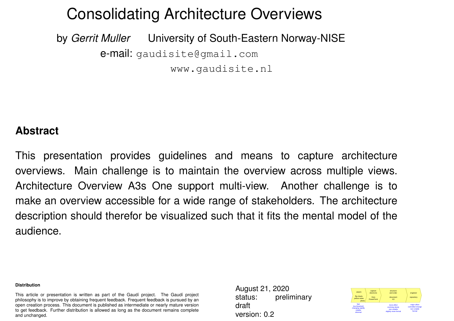### Consolidating Architecture Overviews

by *Gerrit Muller* University of South-Eastern Norway-NISE e-mail: gaudisite@gmail.com www.gaudisite.nl

#### **Abstract**

This presentation provides guidelines and means to capture architecture overviews. Main challenge is to maintain the overview across multiple views. Architecture Overview A3s One support multi-view. Another challenge is to make an overview accessible for a wide range of stakeholders. The architecture description should therefor be visualized such that it fits the mental model of the audience.

#### **Distribution**

This article or presentation is written as part of the Gaudí project. The Gaudí project philosophy is to improve by obtaining frequent feedback. Frequent feedback is pursued by an open creation process. This document is published as intermediate or nearly mature version to get feedback. Further distribution is allowed as long as the document remains complete and unchanged.

August 21, 2020 status: preliminary draft version: 0.2

| sketch<br>flip charts<br>vellow notes<br>photo                    | capture<br>electronic.<br>Visio<br>PowerPoint | structure<br>and order<br>document<br>A3                               | engineer<br>repository                                      |
|-------------------------------------------------------------------|-----------------------------------------------|------------------------------------------------------------------------|-------------------------------------------------------------|
| fast<br>low threshold<br>changing rapidly<br>volatile<br>informal |                                               | more effort<br>evolving slowly<br>non-volatile<br>slightly more formal | major effort<br>controlled change<br>non-volatile<br>formal |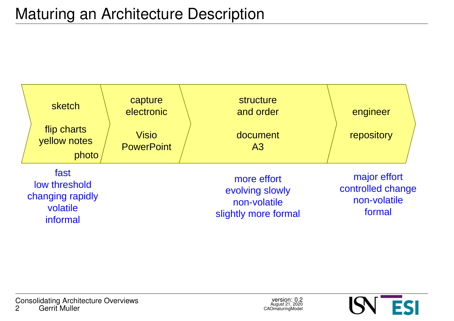

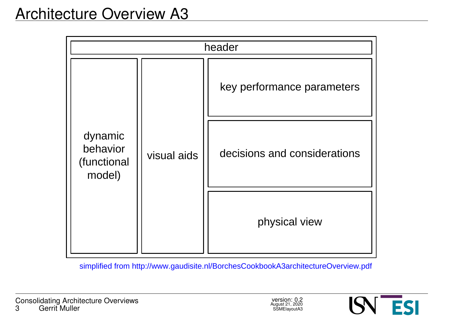| header                                       |             |                              |  |
|----------------------------------------------|-------------|------------------------------|--|
| dynamic<br>behavior<br>(functional<br>model) | visual aids | key performance parameters   |  |
|                                              |             | decisions and considerations |  |
|                                              |             | physical view                |  |

simplified from http://www.gaudisite.nl/BorchesCookbookA3architectureOverview.pdf

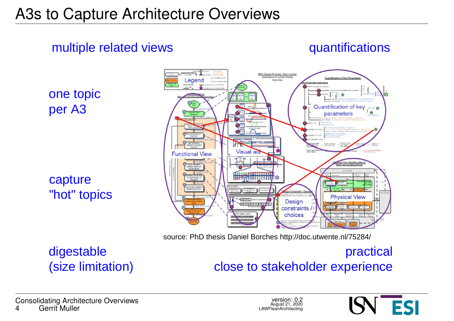#### multiple related views

quantifications

one topic per A3

capture "hot" topics



source: PhD thesis Daniel Borches http://doc.utwente.nl/75284/

#### digestable (size limitation)

#### practical close to stakeholder experience

Consolidating Architecture Overviews Gerrit Muller

version: 0.2 August 21, 2020 LAWFleanArchitecting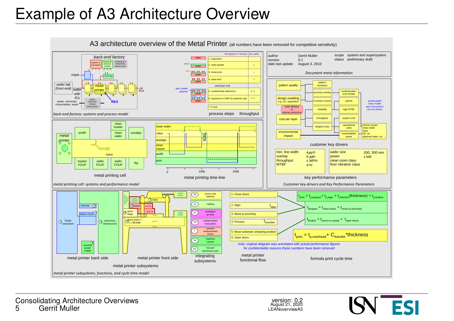# Example of A3 Architecture Overview



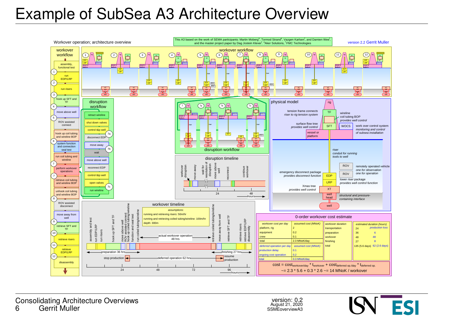# Example of SubSea A3 Architecture Overview



version: 0.2 August 21, 2020 SSMEoverviewA3

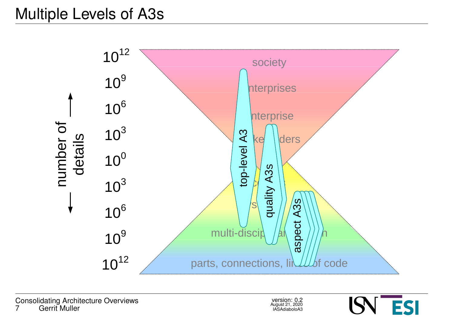# Multiple Levels of A3s



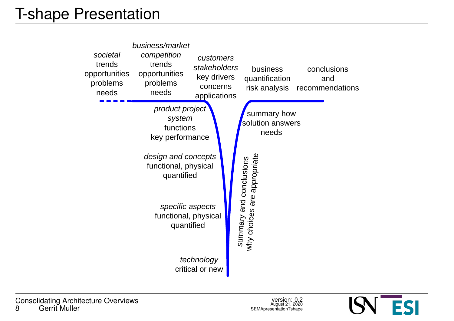